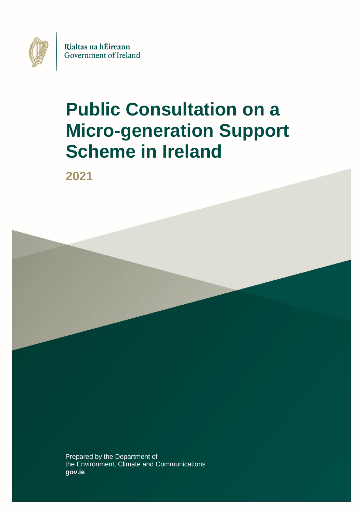

# **Public Consultation on a Micro-generation Support Scheme in Ireland**

**2021**

Prepared by the Department of the Environment, Climate and Communications **gov.ie**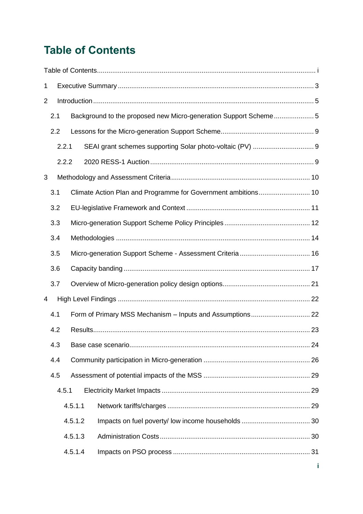## **Table of Contents**

| 1              |     |                                                                 |         |  |  |  |  |
|----------------|-----|-----------------------------------------------------------------|---------|--|--|--|--|
| $\overline{2}$ |     |                                                                 |         |  |  |  |  |
|                | 2.1 | Background to the proposed new Micro-generation Support Scheme5 |         |  |  |  |  |
|                | 2.2 |                                                                 |         |  |  |  |  |
|                |     | 2.2.1                                                           |         |  |  |  |  |
|                |     | 2.2.2                                                           |         |  |  |  |  |
| 3              |     |                                                                 |         |  |  |  |  |
|                | 3.1 |                                                                 |         |  |  |  |  |
|                | 3.2 |                                                                 |         |  |  |  |  |
|                | 3.3 |                                                                 |         |  |  |  |  |
|                | 3.4 |                                                                 |         |  |  |  |  |
|                | 3.5 |                                                                 |         |  |  |  |  |
|                | 3.6 |                                                                 |         |  |  |  |  |
|                | 3.7 |                                                                 |         |  |  |  |  |
| 4              |     |                                                                 |         |  |  |  |  |
|                | 4.1 |                                                                 |         |  |  |  |  |
|                | 4.2 |                                                                 |         |  |  |  |  |
|                | 4.3 |                                                                 |         |  |  |  |  |
|                | 4.4 |                                                                 |         |  |  |  |  |
|                | 4.5 |                                                                 |         |  |  |  |  |
|                |     | 4.5.1                                                           |         |  |  |  |  |
|                |     |                                                                 | 4.5.1.1 |  |  |  |  |
|                |     |                                                                 | 4.5.1.2 |  |  |  |  |
|                |     |                                                                 | 4.5.1.3 |  |  |  |  |
|                |     |                                                                 | 4.5.1.4 |  |  |  |  |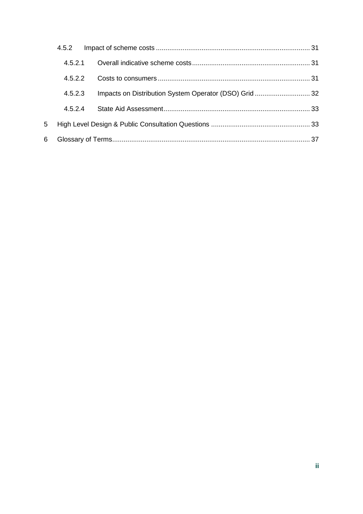|    | 4.5.2   |                                                       |  |
|----|---------|-------------------------------------------------------|--|
|    | 4.5.2.1 |                                                       |  |
|    | 4.5.2.2 |                                                       |  |
|    | 4.5.2.3 | Impacts on Distribution System Operator (DSO) Grid 32 |  |
|    | 4524    |                                                       |  |
| 5  |         |                                                       |  |
| 6. |         |                                                       |  |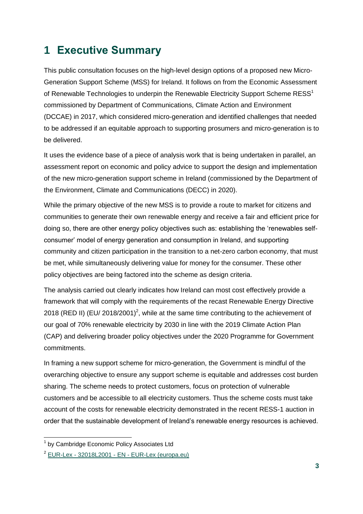## **1 Executive Summary**

This public consultation focuses on the high-level design options of a proposed new Micro-Generation Support Scheme (MSS) for Ireland. It follows on from the Economic Assessment of Renewable Technologies to underpin the Renewable Electricity Support Scheme RESS<sup>1</sup> commissioned by Department of Communications, Climate Action and Environment (DCCAE) in 2017, which considered micro-generation and identified challenges that needed to be addressed if an equitable approach to supporting prosumers and micro-generation is to be delivered.

It uses the evidence base of a piece of analysis work that is being undertaken in parallel, an assessment report on economic and policy advice to support the design and implementation of the new micro-generation support scheme in Ireland (commissioned by the Department of the Environment, Climate and Communications (DECC) in 2020).

While the primary objective of the new MSS is to provide a route to market for citizens and communities to generate their own renewable energy and receive a fair and efficient price for doing so, there are other energy policy objectives such as: establishing the 'renewables selfconsumer' model of energy generation and consumption in Ireland, and supporting community and citizen participation in the transition to a net-zero carbon economy, that must be met, while simultaneously delivering value for money for the consumer. These other policy objectives are being factored into the scheme as design criteria.

The analysis carried out clearly indicates how Ireland can most cost effectively provide a framework that will comply with the requirements of the recast Renewable Energy Directive 2018 (RED II) (EU/ 2018/2001)<sup>2</sup>, while at the same time contributing to the achievement of our goal of 70% renewable electricity by 2030 in line with the 2019 Climate Action Plan (CAP) and delivering broader policy objectives under the 2020 Programme for Government commitments.

In framing a new support scheme for micro-generation, the Government is mindful of the overarching objective to ensure any support scheme is equitable and addresses cost burden sharing. The scheme needs to protect customers, focus on protection of vulnerable customers and be accessible to all electricity customers. Thus the scheme costs must take account of the costs for renewable electricity demonstrated in the recent RESS-1 auction in order that the sustainable development of Ireland's renewable energy resources is achieved.

 $\overline{1}$ 

<sup>&</sup>lt;sup>1</sup> by Cambridge Economic Policy Associates Ltd

<sup>2</sup> EUR-Lex - 32018L2001 - EN - [EUR-Lex \(europa.eu\)](https://eur-lex.europa.eu/legal-content/EN/TXT/?uri=uriserv:OJ.L_.2018.328.01.0082.01.ENG)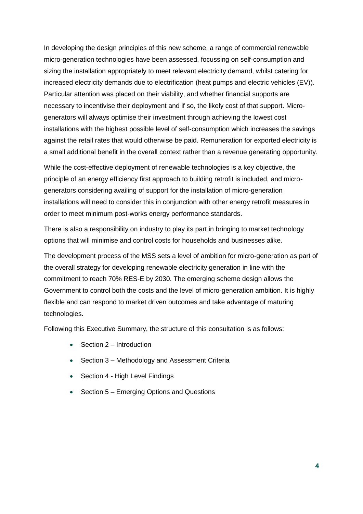In developing the design principles of this new scheme, a range of commercial renewable micro-generation technologies have been assessed, focussing on self-consumption and sizing the installation appropriately to meet relevant electricity demand, whilst catering for increased electricity demands due to electrification (heat pumps and electric vehicles (EV)). Particular attention was placed on their viability, and whether financial supports are necessary to incentivise their deployment and if so, the likely cost of that support. Microgenerators will always optimise their investment through achieving the lowest cost installations with the highest possible level of self-consumption which increases the savings against the retail rates that would otherwise be paid. Remuneration for exported electricity is a small additional benefit in the overall context rather than a revenue generating opportunity.

While the cost-effective deployment of renewable technologies is a key objective, the principle of an energy efficiency first approach to building retrofit is included, and microgenerators considering availing of support for the installation of micro-generation installations will need to consider this in conjunction with other energy retrofit measures in order to meet minimum post-works energy performance standards.

There is also a responsibility on industry to play its part in bringing to market technology options that will minimise and control costs for households and businesses alike.

The development process of the MSS sets a level of ambition for micro-generation as part of the overall strategy for developing renewable electricity generation in line with the commitment to reach 70% RES-E by 2030. The emerging scheme design allows the Government to control both the costs and the level of micro-generation ambition. It is highly flexible and can respond to market driven outcomes and take advantage of maturing technologies.

Following this Executive Summary, the structure of this consultation is as follows:

- Section 2 Introduction
- Section 3 Methodology and Assessment Criteria
- Section 4 High Level Findings
- Section 5 Emerging Options and Questions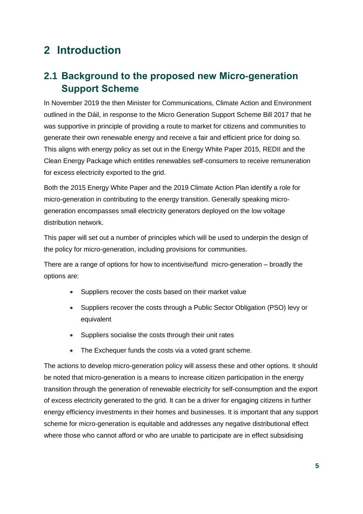## **2 Introduction**

## **2.1 Background to the proposed new Micro-generation Support Scheme**

In November 2019 the then Minister for Communications, Climate Action and Environment outlined in the Dáil, in response to the Micro Generation Support Scheme Bill 2017 that he was supportive in principle of providing a route to market for citizens and communities to generate their own renewable energy and receive a fair and efficient price for doing so. This aligns with energy policy as set out in the Energy White Paper 2015, REDII and the Clean Energy Package which entitles renewables self-consumers to receive remuneration for excess electricity exported to the grid.

Both the 2015 Energy White Paper and the 2019 Climate Action Plan identify a role for micro-generation in contributing to the energy transition. Generally speaking microgeneration encompasses small electricity generators deployed on the low voltage distribution network.

This paper will set out a number of principles which will be used to underpin the design of the policy for micro-generation, including provisions for communities.

There are a range of options for how to incentivise/fund micro-generation – broadly the options are:

- Suppliers recover the costs based on their market value
- Suppliers recover the costs through a Public Sector Obligation (PSO) levy or equivalent
- Suppliers socialise the costs through their unit rates
- The Exchequer funds the costs via a voted grant scheme.

The actions to develop micro-generation policy will assess these and other options. It should be noted that micro-generation is a means to increase citizen participation in the energy transition through the generation of renewable electricity for self-consumption and the export of excess electricity generated to the grid. It can be a driver for engaging citizens in further energy efficiency investments in their homes and businesses. It is important that any support scheme for micro-generation is equitable and addresses any negative distributional effect where those who cannot afford or who are unable to participate are in effect subsidising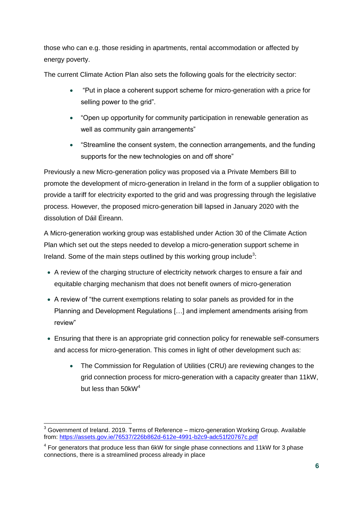those who can e.g. those residing in apartments, rental accommodation or affected by energy poverty.

The current Climate Action Plan also sets the following goals for the electricity sector:

- "Put in place a coherent support scheme for micro-generation with a price for selling power to the grid".
- "Open up opportunity for community participation in renewable generation as well as community gain arrangements"
- "Streamline the consent system, the connection arrangements, and the funding supports for the new technologies on and off shore"

Previously a new Micro-generation policy was proposed via a Private Members Bill to promote the development of micro-generation in Ireland in the form of a supplier obligation to provide a tariff for electricity exported to the grid and was progressing through the legislative process. However, the proposed micro-generation bill lapsed in January 2020 with the dissolution of Dáil Éireann.

A Micro-generation working group was established under Action 30 of the Climate Action Plan which set out the steps needed to develop a micro-generation support scheme in Ireland. Some of the main steps outlined by this working group include<sup>3</sup>:

- A review of the charging structure of electricity network charges to ensure a fair and equitable charging mechanism that does not benefit owners of micro-generation
- A review of "the current exemptions relating to solar panels as provided for in the Planning and Development Regulations […] and implement amendments arising from review"
- Ensuring that there is an appropriate grid connection policy for renewable self-consumers and access for micro-generation. This comes in light of other development such as:
	- The Commission for Regulation of Utilities (CRU) are reviewing changes to the grid connection process for micro-generation with a capacity greater than 11kW, but less than 50kW<sup>4</sup>

<sup>-</sup><sup>3</sup> Government of Ireland. 2019. Terms of Reference – micro-generation Working Group. Available from:<https://assets.gov.ie/76537/226b862d-612e-4991-b2c9-adc51f20767c.pdf>

 $4$  For generators that produce less than 6kW for single phase connections and 11kW for 3 phase connections, there is a streamlined process already in place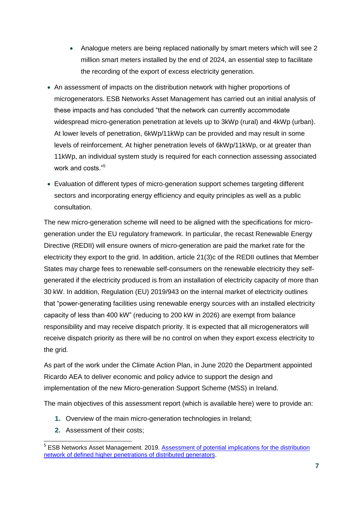- Analogue meters are being replaced nationally by smart meters which will see 2 million smart meters installed by the end of 2024, an essential step to facilitate the recording of the export of excess electricity generation.
- An assessment of impacts on the distribution network with higher proportions of microgenerators. ESB Networks Asset Management has carried out an initial analysis of these impacts and has concluded "that the network can currently accommodate widespread micro-generation penetration at levels up to 3kWp (rural) and 4kWp (urban). At lower levels of penetration, 6kWp/11kWp can be provided and may result in some levels of reinforcement. At higher penetration levels of 6kWp/11kWp, or at greater than 11kWp, an individual system study is required for each connection assessing associated work and costs."<sup>5</sup>
- Evaluation of different types of micro-generation support schemes targeting different sectors and incorporating energy efficiency and equity principles as well as a public consultation.

The new micro-generation scheme will need to be aligned with the specifications for microgeneration under the EU regulatory framework. In particular, the recast Renewable Energy Directive (REDII) will ensure owners of micro-generation are paid the market rate for the electricity they export to the grid. In addition, article 21(3)c of the REDII outlines that Member States may charge fees to renewable self-consumers on the renewable electricity they selfgenerated if the electricity produced is from an installation of electricity capacity of more than 30 kW. In addition, Regulation (EU) 2019/943 on the internal market of electricity outlines that "power-generating facilities using renewable energy sources with an installed electricity capacity of less than 400 kW" (reducing to 200 kW in 2026) are exempt from balance responsibility and may receive dispatch priority. It is expected that all microgenerators will receive dispatch priority as there will be no control on when they export excess electricity to the grid.

As part of the work under the Climate Action Plan, in June 2020 the Department appointed Ricardo AEA to deliver economic and policy advice to support the design and implementation of the new Micro-generation Support Scheme (MSS) in Ireland.

The main objectives of this assessment report (which is available here) were to provide an:

- **1.** Overview of the main micro-generation technologies in Ireland;
- **2.** Assessment of their costs;

 5 ESB Networks Asset Management. 2019. [Assessment of potential implications for the distribution](https://www.esbnetworks.ie/docs/default-source/publications/assessment-of-the-scope-for-higher-penetrations-of-distributed-generation-on-the-low-volage-distribution-network.pdf?sfvrsn=d2d501f0_0)  [network of defined higher penetrations of distributed generators.](https://www.esbnetworks.ie/docs/default-source/publications/assessment-of-the-scope-for-higher-penetrations-of-distributed-generation-on-the-low-volage-distribution-network.pdf?sfvrsn=d2d501f0_0)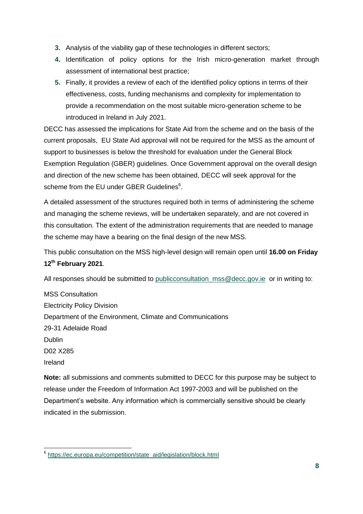- **3.** Analysis of the viability gap of these technologies in different sectors;
- **4.** Identification of policy options for the Irish micro-generation market through assessment of international best practice;
- **5.** Finally, it provides a review of each of the identified policy options in terms of their effectiveness, costs, funding mechanisms and complexity for implementation to provide a recommendation on the most suitable micro-generation scheme to be introduced in Ireland in July 2021.

DECC has assessed the implications for State Aid from the scheme and on the basis of the current proposals, EU State Aid approval will not be required for the MSS as the amount of support to businesses is below the threshold for evaluation under the General Block Exemption Regulation (GBER) guidelines. Once Government approval on the overall design and direction of the new scheme has been obtained, DECC will seek approval for the scheme from the EU under GBER Guidelines<sup>6</sup>.

A detailed assessment of the structures required both in terms of administering the scheme and managing the scheme reviews, will be undertaken separately, and are not covered in this consultation. The extent of the administration requirements that are needed to manage the scheme may have a bearing on the final design of the new MSS.

This public consultation on the MSS high-level design will remain open until **16.00 on Friday 12th February 2021**.

All responses should be submitted to publicconsultation mss@decc.gov.ie or in writing to:

MSS Consultation Electricity Policy Division Department of the Environment, Climate and Communications 29-31 Adelaide Road Dublin D02 X285 Ireland

**Note:** all submissions and comments submitted to DECC for this purpose may be subject to release under the Freedom of Information Act 1997-2003 and will be published on the Department's website. Any information which is commercially sensitive should be clearly indicated in the submission.

<sup>-&</sup>lt;br><sup>6</sup> [https://ec.europa.eu/competition/state\\_aid/legislation/block.html](https://ec.europa.eu/competition/state_aid/legislation/block.html)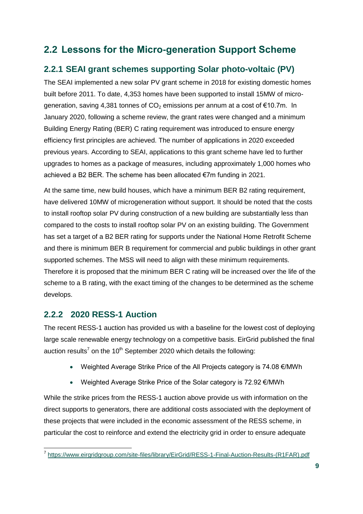## **2.2 Lessons for the Micro-generation Support Scheme**

### **2.2.1 SEAI grant schemes supporting Solar photo-voltaic (PV)**

The SEAI implemented a new solar PV grant scheme in 2018 for existing domestic homes built before 2011. To date, 4,353 homes have been supported to install 15MW of microgeneration, saving 4,381 tonnes of  $CO<sub>2</sub>$  emissions per annum at a cost of  $€10.7m$ . In January 2020, following a scheme review, the grant rates were changed and a minimum Building Energy Rating (BER) C rating requirement was introduced to ensure energy efficiency first principles are achieved. The number of applications in 2020 exceeded previous years. According to SEAI, applications to this grant scheme have led to further upgrades to homes as a package of measures, including approximately 1,000 homes who achieved a B2 BER. The scheme has been allocated €7m funding in 2021.

At the same time, new build houses, which have a minimum BER B2 rating requirement, have delivered 10MW of microgeneration without support. It should be noted that the costs to install rooftop solar PV during construction of a new building are substantially less than compared to the costs to install rooftop solar PV on an existing building. The Government has set a target of a B2 BER rating for supports under the National Home Retrofit Scheme and there is minimum BER B requirement for commercial and public buildings in other grant supported schemes. The MSS will need to align with these minimum requirements. Therefore it is proposed that the minimum BER C rating will be increased over the life of the scheme to a B rating, with the exact timing of the changes to be determined as the scheme develops.

### **2.2.2 2020 RESS-1 Auction**

The recent RESS-1 auction has provided us with a baseline for the lowest cost of deploying large scale renewable energy technology on a competitive basis. EirGrid published the final auction results<sup>7</sup> on the 10<sup>th</sup> September 2020 which details the following:

- Weighted Average Strike Price of the All Projects category is 74.08 €/MWh
- Weighted Average Strike Price of the Solar category is 72.92 €/MWh

While the strike prices from the RESS-1 auction above provide us with information on the direct supports to generators, there are additional costs associated with the deployment of these projects that were included in the economic assessment of the RESS scheme, in particular the cost to reinforce and extend the electricity grid in order to ensure adequate

 7 [https://www.eirgridgroup.com/site-files/library/EirGrid/RESS-1-Final-Auction-Results-\(R1FAR\).pdf](https://www.eirgridgroup.com/site-files/library/EirGrid/RESS-1-Final-Auction-Results-(R1FAR).pdf)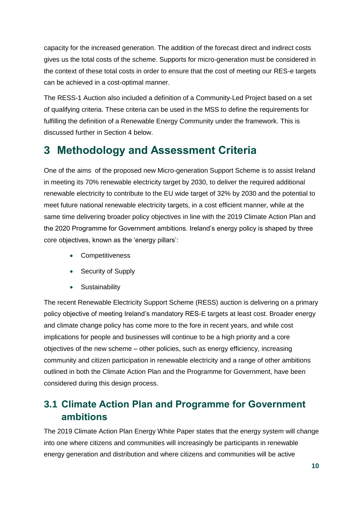capacity for the increased generation. The addition of the forecast direct and indirect costs gives us the total costs of the scheme. Supports for micro-generation must be considered in the context of these total costs in order to ensure that the cost of meeting our RES-e targets can be achieved in a cost-optimal manner.

The RESS-1 Auction also included a definition of a Community-Led Project based on a set of qualifying criteria. These criteria can be used in the MSS to define the requirements for fulfilling the definition of a Renewable Energy Community under the framework. This is discussed further in Section 4 below.

## **3 Methodology and Assessment Criteria**

One of the aims of the proposed new Micro-generation Support Scheme is to assist Ireland in meeting its 70% renewable electricity target by 2030, to deliver the required additional renewable electricity to contribute to the EU wide target of 32% by 2030 and the potential to meet future national renewable electricity targets, in a cost efficient manner, while at the same time delivering broader policy objectives in line with the 2019 Climate Action Plan and the 2020 Programme for Government ambitions. Ireland's energy policy is shaped by three core objectives, known as the 'energy pillars':

- Competitiveness
- Security of Supply
- **•** Sustainability

The recent Renewable Electricity Support Scheme (RESS) auction is delivering on a primary policy objective of meeting Ireland's mandatory RES-E targets at least cost. Broader energy and climate change policy has come more to the fore in recent years, and while cost implications for people and businesses will continue to be a high priority and a core objectives of the new scheme – other policies, such as energy efficiency, increasing community and citizen participation in renewable electricity and a range of other ambitions outlined in both the Climate Action Plan and the Programme for Government, have been considered during this design process.

## **3.1 Climate Action Plan and Programme for Government ambitions**

The 2019 Climate Action Plan Energy White Paper states that the energy system will change into one where citizens and communities will increasingly be participants in renewable energy generation and distribution and where citizens and communities will be active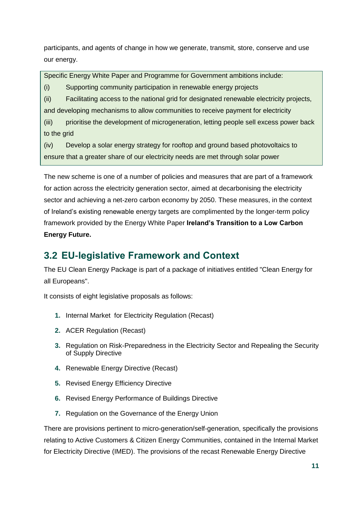participants, and agents of change in how we generate, transmit, store, conserve and use our energy.

Specific Energy White Paper and Programme for Government ambitions include:

(i) Supporting community participation in renewable energy projects

(ii) Facilitating access to the national grid for designated renewable electricity projects, and developing mechanisms to allow communities to receive payment for electricity

(iii) prioritise the development of microgeneration, letting people sell excess power back to the grid

(iv) Develop a solar energy strategy for rooftop and ground based photovoltaics to ensure that a greater share of our electricity needs are met through solar power

The new scheme is one of a number of policies and measures that are part of a framework for action across the electricity generation sector, aimed at decarbonising the electricity sector and achieving a net-zero carbon economy by 2050. These measures, in the context of Ireland's existing renewable energy targets are complimented by the longer-term policy framework provided by the Energy White Paper **Ireland's Transition to a Low Carbon Energy Future.**

### **3.2 EU-legislative Framework and Context**

The EU Clean Energy Package is part of a package of initiatives entitled "Clean Energy for all Europeans".

It consists of eight legislative proposals as follows:

- **1.** Internal Market for Electricity Regulation (Recast)
- **2.** ACER Regulation (Recast)
- **3.** Regulation on Risk-Preparedness in the Electricity Sector and Repealing the Security of Supply Directive
- **4.** Renewable Energy Directive (Recast)
- **5.** Revised Energy Efficiency Directive
- **6.** Revised Energy Performance of Buildings Directive
- **7.** Regulation on the Governance of the Energy Union

There are provisions pertinent to micro-generation/self-generation, specifically the provisions relating to Active Customers & Citizen Energy Communities, contained in the Internal Market for Electricity Directive (IMED). The provisions of the recast Renewable Energy Directive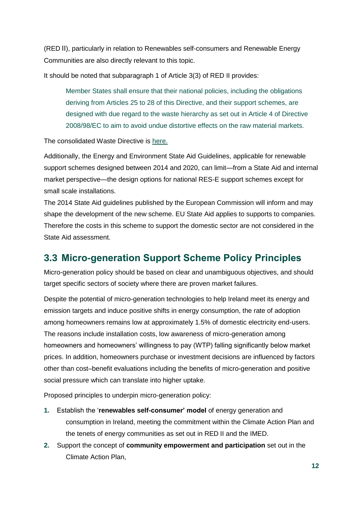(RED II), particularly in relation to Renewables self-consumers and Renewable Energy Communities are also directly relevant to this topic.

It should be noted that subparagraph 1 of Article 3(3) of RED II provides:

Member States shall ensure that their national policies, including the obligations deriving from Articles 25 to 28 of this Directive, and their support schemes, are designed with due regard to the waste hierarchy as set out in Article 4 of Directive 2008/98/EC to aim to avoid undue distortive effects on the raw material markets.

### The consolidated Waste Directive is [here.](https://eur-lex.europa.eu/legal-content/EN/TXT/?uri=CELEX%3A02008L0098-20180705)

Additionally, the Energy and Environment State Aid Guidelines, applicable for renewable support schemes designed between 2014 and 2020, can limit—from a State Aid and internal market perspective—the design options for national RES-E support schemes except for small scale installations.

The 2014 State Aid guidelines published by the European Commission will inform and may shape the development of the new scheme. EU State Aid applies to supports to companies. Therefore the costs in this scheme to support the domestic sector are not considered in the State Aid assessment.

### **3.3 Micro-generation Support Scheme Policy Principles**

Micro-generation policy should be based on clear and unambiguous objectives, and should target specific sectors of society where there are proven market failures.

Despite the potential of micro-generation technologies to help Ireland meet its energy and emission targets and induce positive shifts in energy consumption, the rate of adoption among homeowners remains low at approximately 1.5% of domestic electricity end-users. The reasons include installation costs, low awareness of micro-generation among homeowners and homeowners' willingness to pay (WTP) falling significantly below market prices. In addition, homeowners purchase or investment decisions are influenced by factors other than cost–benefit evaluations including the benefits of micro-generation and positive social pressure which can translate into higher uptake.

Proposed principles to underpin micro-generation policy:

- **1.** Establish the '**renewables self-consumer' model** of energy generation and consumption in Ireland, meeting the commitment within the Climate Action Plan and the tenets of energy communities as set out in RED II and the IMED.
- **2.** Support the concept of **community empowerment and participation** set out in the Climate Action Plan,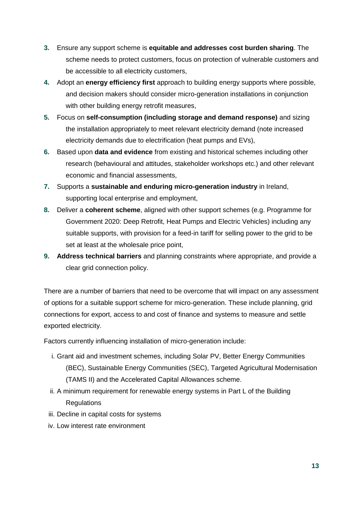- **3.** Ensure any support scheme is **equitable and addresses cost burden sharing**. The scheme needs to protect customers, focus on protection of vulnerable customers and be accessible to all electricity customers,
- **4.** Adopt an **energy efficiency first** approach to building energy supports where possible, and decision makers should consider micro-generation installations in conjunction with other building energy retrofit measures,
- **5.** Focus on **self-consumption (including storage and demand response)** and sizing the installation appropriately to meet relevant electricity demand (note increased electricity demands due to electrification (heat pumps and EVs),
- **6.** Based upon **data and evidence** from existing and historical schemes including other research (behavioural and attitudes, stakeholder workshops etc.) and other relevant economic and financial assessments,
- **7.** Supports a **sustainable and enduring micro-generation industry** in Ireland, supporting local enterprise and employment,
- **8.** Deliver a **coherent scheme**, aligned with other support schemes (e.g. Programme for Government 2020: Deep Retrofit, Heat Pumps and Electric Vehicles) including any suitable supports, with provision for a feed-in tariff for selling power to the grid to be set at least at the wholesale price point,
- **9. Address technical barriers** and planning constraints where appropriate, and provide a clear grid connection policy.

There are a number of barriers that need to be overcome that will impact on any assessment of options for a suitable support scheme for micro-generation. These include planning, grid connections for export, access to and cost of finance and systems to measure and settle exported electricity.

Factors currently influencing installation of micro-generation include:

- i. Grant aid and investment schemes, including Solar PV, Better Energy Communities (BEC), Sustainable Energy Communities (SEC), Targeted Agricultural Modernisation (TAMS II) and the Accelerated Capital Allowances scheme.
- ii. A minimum requirement for renewable energy systems in Part L of the Building Regulations
- iii. Decline in capital costs for systems
- iv. Low interest rate environment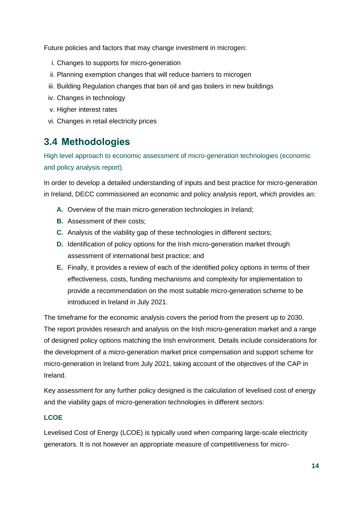Future policies and factors that may change investment in microgen:

- i. Changes to supports for micro-generation
- ii. Planning exemption changes that will reduce barriers to microgen
- iii. Building Regulation changes that ban oil and gas boilers in new buildings
- iv. Changes in technology
- v. Higher interest rates
- vi. Changes in retail electricity prices

## **3.4 Methodologies**

High level approach to economic assessment of micro-generation technologies (economic and policy analysis report).

In order to develop a detailed understanding of inputs and best practice for micro-generation in Ireland, DECC commissioned an economic and policy analysis report, which provides an:

- **A.** Overview of the main micro-generation technologies in Ireland;
- **B.** Assessment of their costs:
- **C.** Analysis of the viability gap of these technologies in different sectors;
- **D.** Identification of policy options for the Irish micro-generation market through assessment of international best practice; and
- **E.** Finally, it provides a review of each of the identified policy options in terms of their effectiveness, costs, funding mechanisms and complexity for implementation to provide a recommendation on the most suitable micro-generation scheme to be introduced in Ireland in July 2021.

The timeframe for the economic analysis covers the period from the present up to 2030. The report provides research and analysis on the Irish micro-generation market and a range of designed policy options matching the Irish environment. Details include considerations for the development of a micro-generation market price compensation and support scheme for micro-generation in Ireland from July 2021, taking account of the objectives of the CAP in Ireland.

Key assessment for any further policy designed is the calculation of levelised cost of energy and the viability gaps of micro-generation technologies in different sectors:

### **LCOE**

Levelised Cost of Energy (LCOE) is typically used when comparing large-scale electricity generators. It is not however an appropriate measure of competitiveness for micro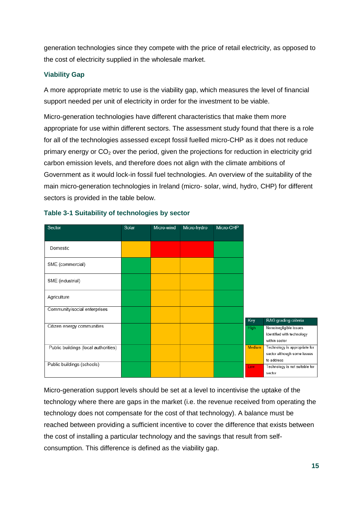generation technologies since they compete with the price of retail electricity, as opposed to the cost of electricity supplied in the wholesale market.

### **Viability Gap**

A more appropriate metric to use is the viability gap, which measures the level of financial support needed per unit of electricity in order for the investment to be viable.

Micro-generation technologies have different characteristics that make them more appropriate for use within different sectors. The assessment study found that there is a role for all of the technologies assessed except fossil fuelled micro-CHP as it does not reduce primary energy or  $CO<sub>2</sub>$  over the period, given the projections for reduction in electricity grid carbon emission levels, and therefore does not align with the climate ambitions of Government as it would lock-in fossil fuel technologies. An overview of the suitability of the main micro-generation technologies in Ireland (micro- solar, wind, hydro, CHP) for different sectors is provided in the table below.

| Sector                               | Solar | Micro-wind | Micro-hydro | Micro-CHP |               |                                                                            |
|--------------------------------------|-------|------------|-------------|-----------|---------------|----------------------------------------------------------------------------|
| Domestic                             |       |            |             |           |               |                                                                            |
| SME (commercial)                     |       |            |             |           |               |                                                                            |
| SME (industrial)                     |       |            |             |           |               |                                                                            |
| Agriculture                          |       |            |             |           |               |                                                                            |
| Community/social enterprises         |       |            |             |           | Key           | RAG grading criteria                                                       |
| Citizen energy communities           |       |            |             |           | <b>High</b>   | None/negligible issues<br>identified with technology<br>within sector      |
| Public buildings (local authorities) |       |            |             |           | <b>Medium</b> | Technology is appropriate for<br>sector although some issues<br>to address |
| Public buildings (schools)           |       |            |             |           | Low           | Technology is not suitable for<br>sector                                   |

### **Table 3-1 Suitability of technologies by sector**

Micro-generation support levels should be set at a level to incentivise the uptake of the technology where there are gaps in the market (i.e. the revenue received from operating the technology does not compensate for the cost of that technology). A balance must be reached between providing a sufficient incentive to cover the difference that exists between the cost of installing a particular technology and the savings that result from selfconsumption. This difference is defined as the viability gap.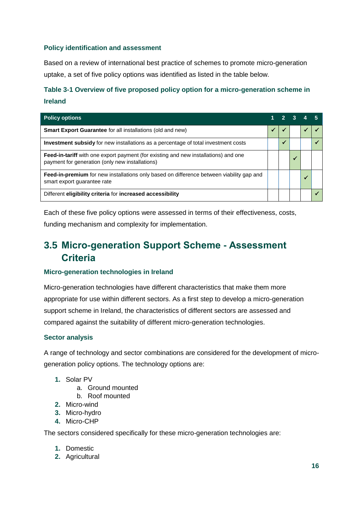### **Policy identification and assessment**

Based on a review of international best practice of schemes to promote micro-generation uptake, a set of five policy options was identified as listed in the table below.

### **Table 3-1 Overview of five proposed policy option for a micro-generation scheme in Ireland**

| <b>Policy options</b>                                                                                                                  |  |  |  |  |
|----------------------------------------------------------------------------------------------------------------------------------------|--|--|--|--|
| <b>Smart Export Guarantee</b> for all installations (old and new)                                                                      |  |  |  |  |
| <b>Investment subsidy</b> for new installations as a percentage of total investment costs                                              |  |  |  |  |
| Feed-in-tariff with one export payment (for existing and new installations) and one<br>payment for generation (only new installations) |  |  |  |  |
| Feed-in-premium for new installations only based on difference between viability gap and<br>smart export guarantee rate                |  |  |  |  |
| Different eligibility criteria for increased accessibility                                                                             |  |  |  |  |

Each of these five policy options were assessed in terms of their effectiveness, costs, funding mechanism and complexity for implementation.

## **3.5 Micro-generation Support Scheme - Assessment Criteria**

### **Micro-generation technologies in Ireland**

Micro-generation technologies have different characteristics that make them more appropriate for use within different sectors. As a first step to develop a micro-generation support scheme in Ireland, the characteristics of different sectors are assessed and compared against the suitability of different micro-generation technologies.

### **Sector analysis**

A range of technology and sector combinations are considered for the development of microgeneration policy options. The technology options are:

- **1.** Solar PV
	- a. Ground mounted
	- b. Roof mounted
- **2.** Micro-wind
- **3.** Micro-hydro
- **4.** Micro-CHP

The sectors considered specifically for these micro-generation technologies are:

- **1.** Domestic
- **2.** Agricultural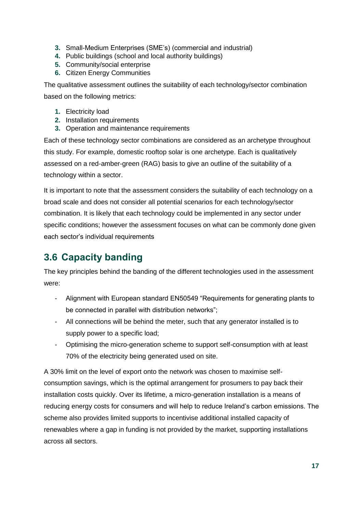- **3.** Small-Medium Enterprises (SME's) (commercial and industrial)
- **4.** Public buildings (school and local authority buildings)
- **5.** Community/social enterprise
- **6.** Citizen Energy Communities

The qualitative assessment outlines the suitability of each technology/sector combination based on the following metrics:

- **1.** Electricity load
- **2.** Installation requirements
- **3.** Operation and maintenance requirements

Each of these technology sector combinations are considered as an archetype throughout this study. For example, domestic rooftop solar is one archetype. Each is qualitatively assessed on a red-amber-green (RAG) basis to give an outline of the suitability of a technology within a sector.

It is important to note that the assessment considers the suitability of each technology on a broad scale and does not consider all potential scenarios for each technology/sector combination. It is likely that each technology could be implemented in any sector under specific conditions; however the assessment focuses on what can be commonly done given each sector's individual requirements

## **3.6 Capacity banding**

The key principles behind the banding of the different technologies used in the assessment were:

- Alignment with European standard EN50549 "Requirements for generating plants to be connected in parallel with distribution networks";
- All connections will be behind the meter, such that any generator installed is to supply power to a specific load;
- Optimising the micro-generation scheme to support self-consumption with at least 70% of the electricity being generated used on site.

A 30% limit on the level of export onto the network was chosen to maximise selfconsumption savings, which is the optimal arrangement for prosumers to pay back their installation costs quickly. Over its lifetime, a micro-generation installation is a means of reducing energy costs for consumers and will help to reduce Ireland's carbon emissions. The scheme also provides limited supports to incentivise additional installed capacity of renewables where a gap in funding is not provided by the market, supporting installations across all sectors.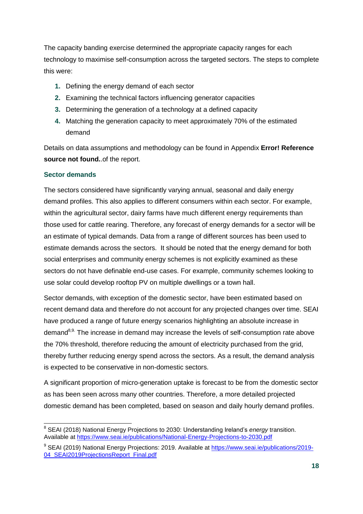The capacity banding exercise determined the appropriate capacity ranges for each technology to maximise self-consumption across the targeted sectors. The steps to complete this were:

- **1.** Defining the energy demand of each sector
- **2.** Examining the technical factors influencing generator capacities
- **3.** Determining the generation of a technology at a defined capacity
- **4.** Matching the generation capacity to meet approximately 70% of the estimated demand

Details on data assumptions and methodology can be found in Appendix **Error! Reference source not found.**.of the report.

### **Sector demands**

The sectors considered have significantly varying annual, seasonal and daily energy demand profiles. This also applies to different consumers within each sector. For example, within the agricultural sector, dairy farms have much different energy requirements than those used for cattle rearing. Therefore, any forecast of energy demands for a sector will be an estimate of typical demands. Data from a range of different sources has been used to estimate demands across the sectors. It should be noted that the energy demand for both social enterprises and community energy schemes is not explicitly examined as these sectors do not have definable end-use cases. For example, community schemes looking to use solar could develop rooftop PV on multiple dwellings or a town hall.

Sector demands, with exception of the domestic sector, have been estimated based on recent demand data and therefore do not account for any projected changes over time. SEAI have produced a range of future energy scenarios highlighting an absolute increase in demand<sup>8,9.</sup> The increase in demand may increase the levels of self-consumption rate above the 70% threshold, therefore reducing the amount of electricity purchased from the grid, thereby further reducing energy spend across the sectors. As a result, the demand analysis is expected to be conservative in non-domestic sectors.

A significant proportion of micro-generation uptake is forecast to be from the domestic sector as has been seen across many other countries. Therefore, a more detailed projected domestic demand has been completed, based on season and daily hourly demand profiles.

<sup>-</sup>8 SEAI (2018) National Energy Projections to 2030: Understanding Ireland's *energy* transition. Available at<https://www.seai.ie/publications/National-Energy-Projections-to-2030.pdf>

<sup>&</sup>lt;sup>9</sup> SEAI (2019) National Energy Projections: 2019. Available at [https://www.seai.ie/publications/2019-](https://www.seai.ie/publications/2019-04_SEAI2019ProjectionsReport_Final.pdf) 04 SEAI2019ProjectionsReport\_Final.pdf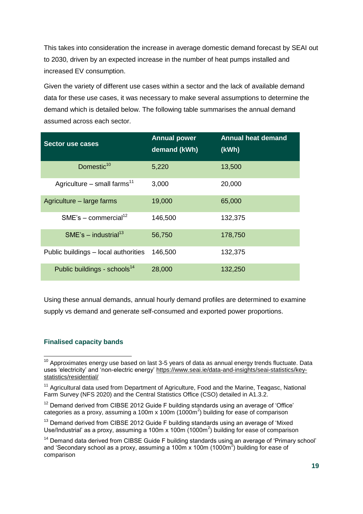This takes into consideration the increase in average domestic demand forecast by SEAI out to 2030, driven by an expected increase in the number of heat pumps installed and increased EV consumption.

Given the variety of different use cases within a sector and the lack of available demand data for these use cases, it was necessary to make several assumptions to determine the demand which is detailed below. The following table summarises the annual demand assumed across each sector.

| <b>Sector use cases</b>                  | <b>Annual power</b><br>demand (kWh) | <b>Annual heat demand</b><br>(kWh) |
|------------------------------------------|-------------------------------------|------------------------------------|
| Domestic <sup>10</sup>                   | 5,220                               | 13,500                             |
| Agriculture – small farms <sup>11</sup>  | 3,000                               | 20,000                             |
| Agriculture – large farms                | 19,000                              | 65,000                             |
| $SME's - commercial12$                   | 146,500                             | 132,375                            |
| $SME's - industrial13$                   | 56,750                              | 178,750                            |
| Public buildings – local authorities     | 146,500                             | 132,375                            |
| Public buildings - schools <sup>14</sup> | 28,000                              | 132,250                            |

Using these annual demands, annual hourly demand profiles are determined to examine supply vs demand and generate self-consumed and exported power proportions.

### **Finalised capacity bands**

-

 $10$  Approximates energy use based on last 3-5 years of data as annual energy trends fluctuate. Data uses 'electricity' and 'non-electric energy' [https://www.seai.ie/data-and-insights/seai-statistics/key](https://www.seai.ie/data-and-insights/seai-statistics/key-statistics/residential/)[statistics/residential/](https://www.seai.ie/data-and-insights/seai-statistics/key-statistics/residential/)

<sup>&</sup>lt;sup>11</sup> Agricultural data used from Department of Agriculture, Food and the Marine, Teagasc, National Farm Survey (NFS 2020) and the Central Statistics Office (CSO) detailed in A1.3.2.

 $12$  Demand derived from CIBSE 2012 Guide F building standards using an average of 'Office' categories as a proxy, assuming a 100m x 100m (1000m<sup>2</sup>) building for ease of comparison

<sup>&</sup>lt;sup>13</sup> Demand derived from CIBSE 2012 Guide F building standards using an average of 'Mixed Use/Industrial' as a proxy, assuming a 100m x 100m  $(1000m^2)$  building for ease of comparison

<sup>&</sup>lt;sup>14</sup> Demand data derived from CIBSE Guide F building standards using an average of 'Primary school' and 'Secondary school as a proxy, assuming a 100m x 100m (1000m $^2$ ) building for ease of comparison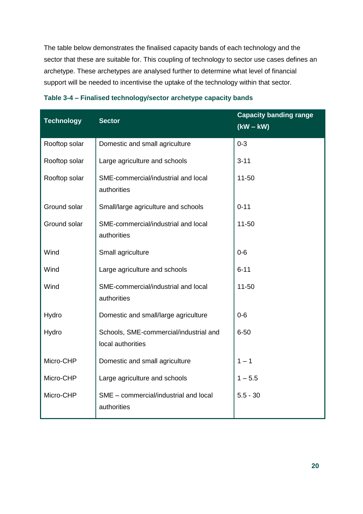The table below demonstrates the finalised capacity bands of each technology and the sector that these are suitable for. This coupling of technology to sector use cases defines an archetype. These archetypes are analysed further to determine what level of financial support will be needed to incentivise the uptake of the technology within that sector.

| <b>Technology</b> | <b>Sector</b>                                               | <b>Capacity banding range</b><br>$(kW - kW)$ |
|-------------------|-------------------------------------------------------------|----------------------------------------------|
| Rooftop solar     | Domestic and small agriculture                              | $0 - 3$                                      |
| Rooftop solar     | Large agriculture and schools                               | $3 - 11$                                     |
| Rooftop solar     | SME-commercial/industrial and local<br>authorities          | $11 - 50$                                    |
| Ground solar      | Small/large agriculture and schools                         | $0 - 11$                                     |
| Ground solar      | SME-commercial/industrial and local<br>authorities          | $11 - 50$                                    |
| Wind              | Small agriculture                                           | $0 - 6$                                      |
| Wind              | Large agriculture and schools                               | $6 - 11$                                     |
| Wind              | SME-commercial/industrial and local<br>authorities          | $11 - 50$                                    |
| Hydro             | Domestic and small/large agriculture                        | $0 - 6$                                      |
| Hydro             | Schools, SME-commercial/industrial and<br>local authorities | $6 - 50$                                     |
| Micro-CHP         | Domestic and small agriculture                              | $1 - 1$                                      |
| Micro-CHP         | Large agriculture and schools                               | $1 - 5.5$                                    |
| Micro-CHP         | SME - commercial/industrial and local<br>authorities        | $5.5 - 30$                                   |

|  | Table 3-4 - Finalised technology/sector archetype capacity bands |  |  |
|--|------------------------------------------------------------------|--|--|
|  |                                                                  |  |  |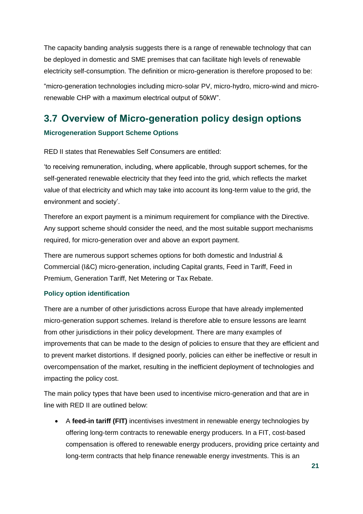The capacity banding analysis suggests there is a range of renewable technology that can be deployed in domestic and SME premises that can facilitate high levels of renewable electricity self-consumption. The definition or micro-generation is therefore proposed to be:

"micro-generation technologies including micro-solar PV, micro-hydro, micro-wind and microrenewable CHP with a maximum electrical output of 50kW".

## **3.7 Overview of Micro-generation policy design options**

### **Microgeneration Support Scheme Options**

RED II states that Renewables Self Consumers are entitled:

'to receiving remuneration, including, where applicable, through support schemes, for the self-generated renewable electricity that they feed into the grid, which reflects the market value of that electricity and which may take into account its long-term value to the grid, the environment and society'.

Therefore an export payment is a minimum requirement for compliance with the Directive. Any support scheme should consider the need, and the most suitable support mechanisms required, for micro-generation over and above an export payment.

There are numerous support schemes options for both domestic and Industrial & Commercial (I&C) micro-generation, including Capital grants, Feed in Tariff, Feed in Premium, Generation Tariff, Net Metering or Tax Rebate.

### **Policy option identification**

There are a number of other jurisdictions across Europe that have already implemented micro-generation support schemes. Ireland is therefore able to ensure lessons are learnt from other jurisdictions in their policy development. There are many examples of improvements that can be made to the design of policies to ensure that they are efficient and to prevent market distortions. If designed poorly, policies can either be ineffective or result in overcompensation of the market, resulting in the inefficient deployment of technologies and impacting the policy cost.

The main policy types that have been used to incentivise micro-generation and that are in line with RED II are outlined below:

 A **feed-in tariff (FIT)** incentivises investment in renewable energy technologies by offering long-term contracts to renewable energy producers. In a FIT, cost-based compensation is offered to renewable energy producers, providing price certainty and long-term contracts that help finance renewable energy investments. This is an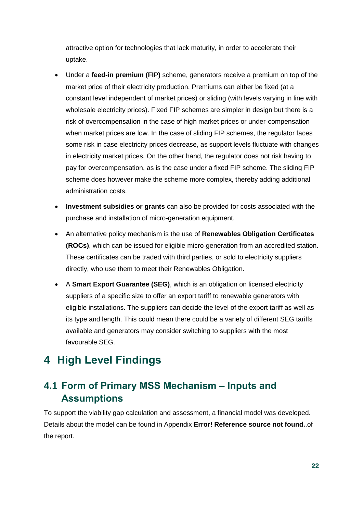attractive option for technologies that lack maturity, in order to accelerate their uptake.

- Under a **feed-in premium (FIP)** scheme, generators receive a premium on top of the market price of their electricity production. Premiums can either be fixed (at a constant level independent of market prices) or sliding (with levels varying in line with wholesale electricity prices). Fixed FIP schemes are simpler in design but there is a risk of overcompensation in the case of high market prices or under-compensation when market prices are low. In the case of sliding FIP schemes, the regulator faces some risk in case electricity prices decrease, as support levels fluctuate with changes in electricity market prices. On the other hand, the regulator does not risk having to pay for overcompensation, as is the case under a fixed FIP scheme. The sliding FIP scheme does however make the scheme more complex, thereby adding additional administration costs.
- **Investment subsidies or grants** can also be provided for costs associated with the purchase and installation of micro-generation equipment.
- An alternative policy mechanism is the use of **Renewables Obligation Certificates (ROCs)**, which can be issued for eligible micro-generation from an accredited station. These certificates can be traded with third parties, or sold to electricity suppliers directly, who use them to meet their Renewables Obligation.
- A **Smart Export Guarantee (SEG)**, which is an obligation on licensed electricity suppliers of a specific size to offer an export tariff to renewable generators with eligible installations. The suppliers can decide the level of the export tariff as well as its type and length. This could mean there could be a variety of different SEG tariffs available and generators may consider switching to suppliers with the most favourable SEG.

## **4 High Level Findings**

## **4.1 Form of Primary MSS Mechanism – Inputs and Assumptions**

To support the viability gap calculation and assessment, a financial model was developed. Details about the model can be found in Appendix **Error! Reference source not found.**.of the report.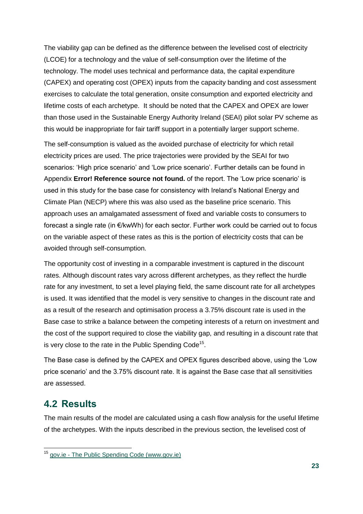The viability gap can be defined as the difference between the levelised cost of electricity (LCOE) for a technology and the value of self-consumption over the lifetime of the technology. The model uses technical and performance data, the capital expenditure (CAPEX) and operating cost (OPEX) inputs from the capacity banding and cost assessment exercises to calculate the total generation, onsite consumption and exported electricity and lifetime costs of each archetype. It should be noted that the CAPEX and OPEX are lower than those used in the Sustainable Energy Authority Ireland (SEAI) pilot solar PV scheme as this would be inappropriate for fair tariff support in a potentially larger support scheme.

The self-consumption is valued as the avoided purchase of electricity for which retail electricity prices are used. The price trajectories were provided by the SEAI for two scenarios: 'High price scenario' and 'Low price scenario'. Further details can be found in Appendix **Error! Reference source not found.** of the report. The 'Low price scenario' is used in this study for the base case for consistency with Ireland's National Energy and Climate Plan (NECP) where this was also used as the baseline price scenario. This approach uses an amalgamated assessment of fixed and variable costs to consumers to forecast a single rate (in €/kwWh) for each sector. Further work could be carried out to focus on the variable aspect of these rates as this is the portion of electricity costs that can be avoided through self-consumption.

The opportunity cost of investing in a comparable investment is captured in the discount rates. Although discount rates vary across different archetypes, as they reflect the hurdle rate for any investment, to set a level playing field, the same discount rate for all archetypes is used. It was identified that the model is very sensitive to changes in the discount rate and as a result of the research and optimisation process a 3.75% discount rate is used in the Base case to strike a balance between the competing interests of a return on investment and the cost of the support required to close the viability gap, and resulting in a discount rate that is very close to the rate in the Public Spending Code<sup>15</sup>.

The Base case is defined by the CAPEX and OPEX figures described above, using the 'Low price scenario' and the 3.75% discount rate. It is against the Base case that all sensitivities are assessed.

### **4.2 Results**

-

The main results of the model are calculated using a cash flow analysis for the useful lifetime of the archetypes. With the inputs described in the previous section, the levelised cost of

<sup>&</sup>lt;sup>15</sup> gov.ie - [The Public Spending Code \(www.gov.ie\)](https://www.gov.ie/en/publication/public-spending-code/)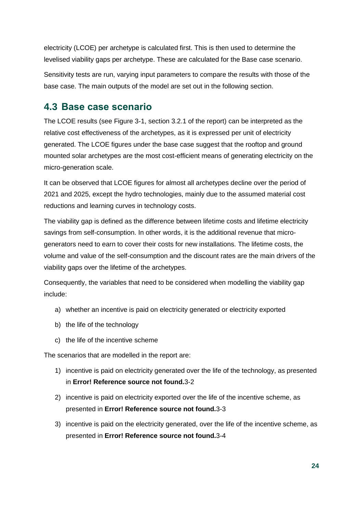electricity (LCOE) per archetype is calculated first. This is then used to determine the levelised viability gaps per archetype. These are calculated for the Base case scenario.

Sensitivity tests are run, varying input parameters to compare the results with those of the base case. The main outputs of the model are set out in the following section.

### **4.3 Base case scenario**

The LCOE results (see Figure 3-1, section 3.2.1 of the report) can be interpreted as the relative cost effectiveness of the archetypes, as it is expressed per unit of electricity generated. The LCOE figures under the base case suggest that the rooftop and ground mounted solar archetypes are the most cost-efficient means of generating electricity on the micro-generation scale.

It can be observed that LCOE figures for almost all archetypes decline over the period of 2021 and 2025, except the hydro technologies, mainly due to the assumed material cost reductions and learning curves in technology costs.

The viability gap is defined as the difference between lifetime costs and lifetime electricity savings from self-consumption. In other words, it is the additional revenue that microgenerators need to earn to cover their costs for new installations. The lifetime costs, the volume and value of the self-consumption and the discount rates are the main drivers of the viability gaps over the lifetime of the archetypes.

Consequently, the variables that need to be considered when modelling the viability gap include:

- a) whether an incentive is paid on electricity generated or electricity exported
- b) the life of the technology
- c) the life of the incentive scheme

The scenarios that are modelled in the report are:

- 1) incentive is paid on electricity generated over the life of the technology, as presented in **Error! Reference source not found.**3-2
- 2) incentive is paid on electricity exported over the life of the incentive scheme, as presented in **Error! Reference source not found.**3-3
- 3) incentive is paid on the electricity generated, over the life of the incentive scheme, as presented in **Error! Reference source not found.**3-4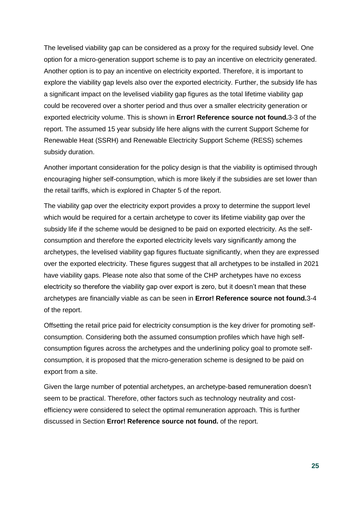The levelised viability gap can be considered as a proxy for the required subsidy level. One option for a micro-generation support scheme is to pay an incentive on electricity generated. Another option is to pay an incentive on electricity exported. Therefore, it is important to explore the viability gap levels also over the exported electricity. Further, the subsidy life has a significant impact on the levelised viability gap figures as the total lifetime viability gap could be recovered over a shorter period and thus over a smaller electricity generation or exported electricity volume. This is shown in **Error! Reference source not found.**3-3 of the report. The assumed 15 year subsidy life here aligns with the current Support Scheme for Renewable Heat (SSRH) and Renewable Electricity Support Scheme (RESS) schemes subsidy duration.

Another important consideration for the policy design is that the viability is optimised through encouraging higher self-consumption, which is more likely if the subsidies are set lower than the retail tariffs, which is explored in Chapter 5 of the report.

The viability gap over the electricity export provides a proxy to determine the support level which would be required for a certain archetype to cover its lifetime viability gap over the subsidy life if the scheme would be designed to be paid on exported electricity. As the selfconsumption and therefore the exported electricity levels vary significantly among the archetypes, the levelised viability gap figures fluctuate significantly, when they are expressed over the exported electricity. These figures suggest that all archetypes to be installed in 2021 have viability gaps. Please note also that some of the CHP archetypes have no excess electricity so therefore the viability gap over export is zero, but it doesn't mean that these archetypes are financially viable as can be seen in **Error! Reference source not found.**3-4 of the report.

Offsetting the retail price paid for electricity consumption is the key driver for promoting selfconsumption. Considering both the assumed consumption profiles which have high selfconsumption figures across the archetypes and the underlining policy goal to promote selfconsumption, it is proposed that the micro-generation scheme is designed to be paid on export from a site.

Given the large number of potential archetypes, an archetype-based remuneration doesn't seem to be practical. Therefore, other factors such as technology neutrality and costefficiency were considered to select the optimal remuneration approach. This is further discussed in Section **Error! Reference source not found.** of the report.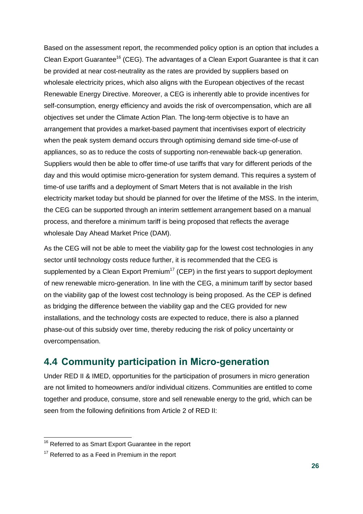Based on the assessment report, the recommended policy option is an option that includes a Clean Export Guarantee<sup>16</sup> (CEG). The advantages of a Clean Export Guarantee is that it can be provided at near cost-neutrality as the rates are provided by suppliers based on wholesale electricity prices, which also aligns with the European objectives of the recast Renewable Energy Directive. Moreover, a CEG is inherently able to provide incentives for self-consumption, energy efficiency and avoids the risk of overcompensation, which are all objectives set under the Climate Action Plan. The long-term objective is to have an arrangement that provides a market-based payment that incentivises export of electricity when the peak system demand occurs through optimising demand side time-of-use of appliances, so as to reduce the costs of supporting non-renewable back-up generation. Suppliers would then be able to offer time-of use tariffs that vary for different periods of the day and this would optimise micro-generation for system demand. This requires a system of time-of use tariffs and a deployment of Smart Meters that is not available in the Irish electricity market today but should be planned for over the lifetime of the MSS. In the interim, the CEG can be supported through an interim settlement arrangement based on a manual process, and therefore a minimum tariff is being proposed that reflects the average wholesale Day Ahead Market Price (DAM).

As the CEG will not be able to meet the viability gap for the lowest cost technologies in any sector until technology costs reduce further, it is recommended that the CEG is supplemented by a Clean Export Premium<sup>17</sup> (CEP) in the first years to support deployment of new renewable micro-generation. In line with the CEG, a minimum tariff by sector based on the viability gap of the lowest cost technology is being proposed. As the CEP is defined as bridging the difference between the viability gap and the CEG provided for new installations, and the technology costs are expected to reduce, there is also a planned phase-out of this subsidy over time, thereby reducing the risk of policy uncertainty or overcompensation.

## **4.4 Community participation in Micro-generation**

Under RED II & IMED, opportunities for the participation of prosumers in micro generation are not limited to homeowners and/or individual citizens. Communities are entitled to come together and produce, consume, store and sell renewable energy to the grid, which can be seen from the following definitions from Article 2 of RED II:

 $\overline{1}$ 

<sup>&</sup>lt;sup>16</sup> Referred to as Smart Export Guarantee in the report

 $17$  Referred to as a Feed in Premium in the report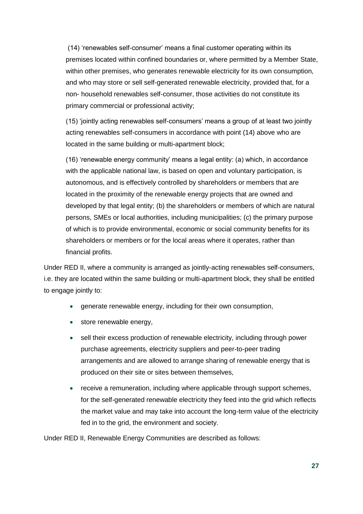(14) 'renewables self-consumer' means a final customer operating within its premises located within confined boundaries or, where permitted by a Member State, within other premises, who generates renewable electricity for its own consumption, and who may store or sell self-generated renewable electricity, provided that, for a non- household renewables self-consumer, those activities do not constitute its primary commercial or professional activity;

(15) 'jointly acting renewables self-consumers' means a group of at least two jointly acting renewables self-consumers in accordance with point (14) above who are located in the same building or multi-apartment block;

(16) 'renewable energy community' means a legal entity: (a) which, in accordance with the applicable national law, is based on open and voluntary participation, is autonomous, and is effectively controlled by shareholders or members that are located in the proximity of the renewable energy projects that are owned and developed by that legal entity; (b) the shareholders or members of which are natural persons, SMEs or local authorities, including municipalities; (c) the primary purpose of which is to provide environmental, economic or social community benefits for its shareholders or members or for the local areas where it operates, rather than financial profits.

Under RED II, where a community is arranged as jointly-acting renewables self-consumers, i.e. they are located within the same building or multi-apartment block, they shall be entitled to engage jointly to:

- generate renewable energy, including for their own consumption,
- store renewable energy,
- sell their excess production of renewable electricity, including through power purchase agreements, electricity suppliers and peer-to-peer trading arrangements and are allowed to arrange sharing of renewable energy that is produced on their site or sites between themselves,
- receive a remuneration, including where applicable through support schemes, for the self-generated renewable electricity they feed into the grid which reflects the market value and may take into account the long-term value of the electricity fed in to the grid, the environment and society.

Under RED II, Renewable Energy Communities are described as follows: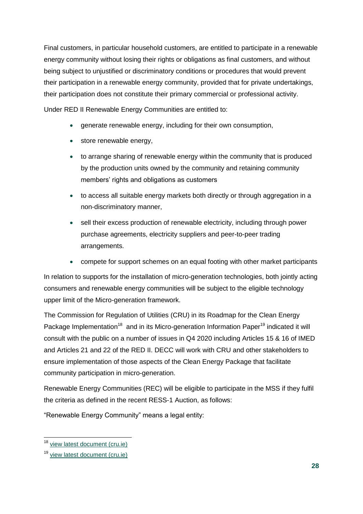Final customers, in particular household customers, are entitled to participate in a renewable energy community without losing their rights or obligations as final customers, and without being subject to unjustified or discriminatory conditions or procedures that would prevent their participation in a renewable energy community, provided that for private undertakings, their participation does not constitute their primary commercial or professional activity.

Under RED II Renewable Energy Communities are entitled to:

- generate renewable energy, including for their own consumption,
- store renewable energy,
- to arrange sharing of renewable energy within the community that is produced by the production units owned by the community and retaining community members' rights and obligations as customers
- to access all suitable energy markets both directly or through aggregation in a non-discriminatory manner,
- sell their excess production of renewable electricity, including through power purchase agreements, electricity suppliers and peer-to-peer trading arrangements.
- compete for support schemes on an equal footing with other market participants

In relation to supports for the installation of micro-generation technologies, both jointly acting consumers and renewable energy communities will be subject to the eligible technology upper limit of the Micro-generation framework.

The Commission for Regulation of Utilities (CRU) in its Roadmap for the Clean Energy Package Implementation<sup>18</sup> and in its Micro-generation Information Paper<sup>19</sup> indicated it will consult with the public on a number of issues in Q4 2020 including Articles 15 & 16 of IMED and Articles 21 and 22 of the RED II. DECC will work with CRU and other stakeholders to ensure implementation of those aspects of the Clean Energy Package that facilitate community participation in micro-generation.

Renewable Energy Communities (REC) will be eligible to participate in the MSS if they fulfil the criteria as defined in the recent RESS-1 Auction, as follows:

"Renewable Energy Community" means a legal entity:

 $\overline{1}$ 

<sup>&</sup>lt;sup>18</sup> [view latest document \(cru.ie\)](https://www.cru.ie/wp-content/uploads/2020/03/CRU20043-Roadmap-for-the-Clean-Energy-Packages-Electricity-and-Renewables-Directives.pdf)

<sup>19</sup> [view latest document \(cru.ie\)](https://www.cru.ie/wp-content/uploads/2020/05/CRU20059-Microgeneration-Information-Paper.pdf)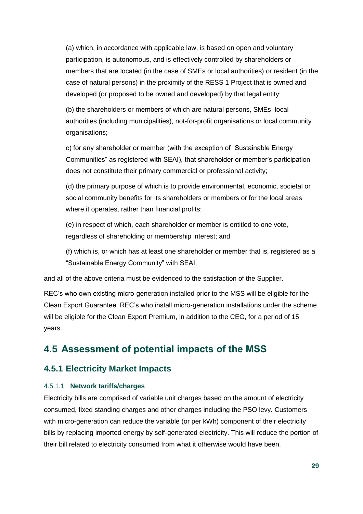(a) which, in accordance with applicable law, is based on open and voluntary participation, is autonomous, and is effectively controlled by shareholders or members that are located (in the case of SMEs or local authorities) or resident (in the case of natural persons) in the proximity of the RESS 1 Project that is owned and developed (or proposed to be owned and developed) by that legal entity;

(b) the shareholders or members of which are natural persons, SMEs, local authorities (including municipalities), not-for-profit organisations or local community organisations;

c) for any shareholder or member (with the exception of "Sustainable Energy Communities" as registered with SEAI), that shareholder or member's participation does not constitute their primary commercial or professional activity;

(d) the primary purpose of which is to provide environmental, economic, societal or social community benefits for its shareholders or members or for the local areas where it operates, rather than financial profits;

(e) in respect of which, each shareholder or member is entitled to one vote, regardless of shareholding or membership interest; and

(f) which is, or which has at least one shareholder or member that is, registered as a "Sustainable Energy Community" with SEAI,

and all of the above criteria must be evidenced to the satisfaction of the Supplier.

REC's who own existing micro-generation installed prior to the MSS will be eligible for the Clean Export Guarantee. REC's who install micro-generation installations under the scheme will be eligible for the Clean Export Premium, in addition to the CEG, for a period of 15 years.

## **4.5 Assessment of potential impacts of the MSS**

### **4.5.1 Electricity Market Impacts**

### 4.5.1.1 **Network tariffs/charges**

Electricity bills are comprised of variable unit charges based on the amount of electricity consumed, fixed standing charges and other charges including the PSO levy. Customers with micro-generation can reduce the variable (or per kWh) component of their electricity bills by replacing imported energy by self-generated electricity. This will reduce the portion of their bill related to electricity consumed from what it otherwise would have been.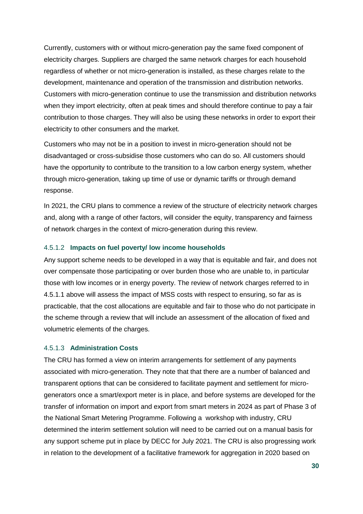Currently, customers with or without micro-generation pay the same fixed component of electricity charges. Suppliers are charged the same network charges for each household regardless of whether or not micro-generation is installed, as these charges relate to the development, maintenance and operation of the transmission and distribution networks. Customers with micro-generation continue to use the transmission and distribution networks when they import electricity, often at peak times and should therefore continue to pay a fair contribution to those charges. They will also be using these networks in order to export their electricity to other consumers and the market.

Customers who may not be in a position to invest in micro-generation should not be disadvantaged or cross-subsidise those customers who can do so. All customers should have the opportunity to contribute to the transition to a low carbon energy system, whether through micro-generation, taking up time of use or dynamic tariffs or through demand response.

In 2021, the CRU plans to commence a review of the structure of electricity network charges and, along with a range of other factors, will consider the equity, transparency and fairness of network charges in the context of micro-generation during this review.

### 4.5.1.2 **Impacts on fuel poverty/ low income households**

Any support scheme needs to be developed in a way that is equitable and fair, and does not over compensate those participating or over burden those who are unable to, in particular those with low incomes or in energy poverty. The review of network charges referred to in 4.5.1.1 above will assess the impact of MSS costs with respect to ensuring, so far as is practicable, that the cost allocations are equitable and fair to those who do not participate in the scheme through a review that will include an assessment of the allocation of fixed and volumetric elements of the charges.

#### 4.5.1.3 **Administration Costs**

The CRU has formed a view on interim arrangements for settlement of any payments associated with micro-generation. They note that that there are a number of balanced and transparent options that can be considered to facilitate payment and settlement for microgenerators once a smart/export meter is in place, and before systems are developed for the transfer of information on import and export from smart meters in 2024 as part of Phase 3 of the National Smart Metering Programme. Following a workshop with industry, CRU determined the interim settlement solution will need to be carried out on a manual basis for any support scheme put in place by DECC for July 2021. The CRU is also progressing work in relation to the development of a facilitative framework for aggregation in 2020 based on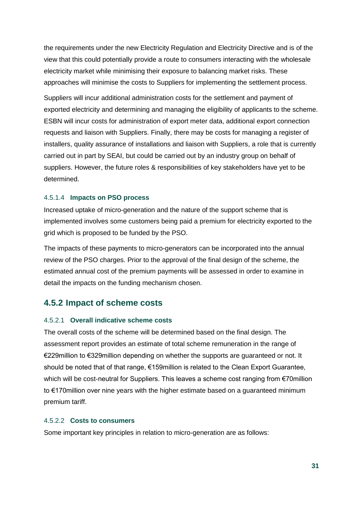the requirements under the new Electricity Regulation and Electricity Directive and is of the view that this could potentially provide a route to consumers interacting with the wholesale electricity market while minimising their exposure to balancing market risks. These approaches will minimise the costs to Suppliers for implementing the settlement process.

Suppliers will incur additional administration costs for the settlement and payment of exported electricity and determining and managing the eligibility of applicants to the scheme. ESBN will incur costs for administration of export meter data, additional export connection requests and liaison with Suppliers. Finally, there may be costs for managing a register of installers, quality assurance of installations and liaison with Suppliers, a role that is currently carried out in part by SEAI, but could be carried out by an industry group on behalf of suppliers. However, the future roles & responsibilities of key stakeholders have yet to be determined.

#### 4.5.1.4 **Impacts on PSO process**

Increased uptake of micro-generation and the nature of the support scheme that is implemented involves some customers being paid a premium for electricity exported to the grid which is proposed to be funded by the PSO.

The impacts of these payments to micro-generators can be incorporated into the annual review of the PSO charges. Prior to the approval of the final design of the scheme, the estimated annual cost of the premium payments will be assessed in order to examine in detail the impacts on the funding mechanism chosen.

### **4.5.2 Impact of scheme costs**

#### 4.5.2.1 **Overall indicative scheme costs**

The overall costs of the scheme will be determined based on the final design. The assessment report provides an estimate of total scheme remuneration in the range of €229million to €329million depending on whether the supports are guaranteed or not. It should be noted that of that range, €159million is related to the Clean Export Guarantee, which will be cost-neutral for Suppliers. This leaves a scheme cost ranging from €70million to €170million over nine years with the higher estimate based on a guaranteed minimum premium tariff.

#### 4.5.2.2 **Costs to consumers**

Some important key principles in relation to micro-generation are as follows: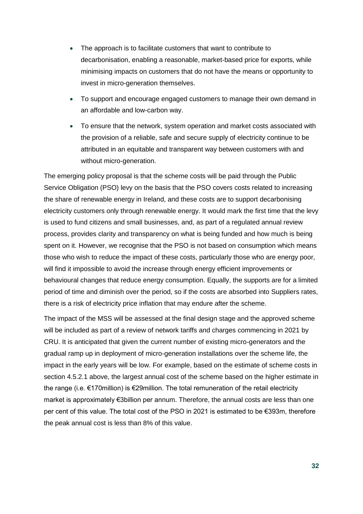- The approach is to facilitate customers that want to contribute to decarbonisation, enabling a reasonable, market-based price for exports, while minimising impacts on customers that do not have the means or opportunity to invest in micro-generation themselves.
- To support and encourage engaged customers to manage their own demand in an affordable and low-carbon way.
- To ensure that the network, system operation and market costs associated with the provision of a reliable, safe and secure supply of electricity continue to be attributed in an equitable and transparent way between customers with and without micro-generation.

The emerging policy proposal is that the scheme costs will be paid through the Public Service Obligation (PSO) levy on the basis that the PSO covers costs related to increasing the share of renewable energy in Ireland, and these costs are to support decarbonising electricity customers only through renewable energy. It would mark the first time that the levy is used to fund citizens and small businesses, and, as part of a regulated annual review process, provides clarity and transparency on what is being funded and how much is being spent on it. However, we recognise that the PSO is not based on consumption which means those who wish to reduce the impact of these costs, particularly those who are energy poor, will find it impossible to avoid the increase through energy efficient improvements or behavioural changes that reduce energy consumption. Equally, the supports are for a limited period of time and diminish over the period, so if the costs are absorbed into Suppliers rates, there is a risk of electricity price inflation that may endure after the scheme.

The impact of the MSS will be assessed at the final design stage and the approved scheme will be included as part of a review of network tariffs and charges commencing in 2021 by CRU. It is anticipated that given the current number of existing micro-generators and the gradual ramp up in deployment of micro-generation installations over the scheme life, the impact in the early years will be low. For example, based on the estimate of scheme costs in section 4.5.2.1 above, the largest annual cost of the scheme based on the higher estimate in the range (i.e. €170million) is €29million. The total remuneration of the retail electricity market is approximately €3billion per annum. Therefore, the annual costs are less than one per cent of this value. The total cost of the PSO in 2021 is estimated to be  $\epsilon$ 393m, therefore the peak annual cost is less than 8% of this value.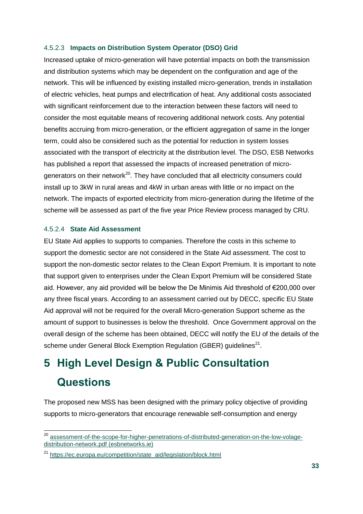#### 4.5.2.3 **Impacts on Distribution System Operator (DSO) Grid**

Increased uptake of micro-generation will have potential impacts on both the transmission and distribution systems which may be dependent on the configuration and age of the network. This will be influenced by existing installed micro-generation, trends in installation of electric vehicles, heat pumps and electrification of heat. Any additional costs associated with significant reinforcement due to the interaction between these factors will need to consider the most equitable means of recovering additional network costs. Any potential benefits accruing from micro-generation, or the efficient aggregation of same in the longer term, could also be considered such as the potential for reduction in system losses associated with the transport of electricity at the distribution level. The DSO, ESB Networks has published a report that assessed the impacts of increased penetration of microgenerators on their network<sup>20</sup>. They have concluded that all electricity consumers could install up to 3kW in rural areas and 4kW in urban areas with little or no impact on the network. The impacts of exported electricity from micro-generation during the lifetime of the scheme will be assessed as part of the five year Price Review process managed by CRU.

#### 4.5.2.4 **State Aid Assessment**

-

EU State Aid applies to supports to companies. Therefore the costs in this scheme to support the domestic sector are not considered in the State Aid assessment. The cost to support the non-domestic sector relates to the Clean Export Premium. It is important to note that support given to enterprises under the Clean Export Premium will be considered State aid. However, any aid provided will be below the De Minimis Aid threshold of €200,000 over any three fiscal years. According to an assessment carried out by DECC, specific EU State Aid approval will not be required for the overall Micro-generation Support scheme as the amount of support to businesses is below the threshold. Once Government approval on the overall design of the scheme has been obtained, DECC will notify the EU of the details of the scheme under General Block Exemption Regulation (GBER) guidelines<sup>21</sup>.

## **5 High Level Design & Public Consultation Questions**

The proposed new MSS has been designed with the primary policy objective of providing supports to micro-generators that encourage renewable self-consumption and energy

<sup>&</sup>lt;sup>20</sup> [assessment-of-the-scope-for-higher-penetrations-of-distributed-generation-on-the-low-volage](https://www.esbnetworks.ie/docs/default-source/publications/assessment-of-the-scope-for-higher-penetrations-of-distributed-generation-on-the-low-volage-distribution-network.pdf?sfvrsn=d2d501f0_0)[distribution-network.pdf \(esbnetworks.ie\)](https://www.esbnetworks.ie/docs/default-source/publications/assessment-of-the-scope-for-higher-penetrations-of-distributed-generation-on-the-low-volage-distribution-network.pdf?sfvrsn=d2d501f0_0)

<sup>&</sup>lt;sup>21</sup> [https://ec.europa.eu/competition/state\\_aid/legislation/block.html](https://ec.europa.eu/competition/state_aid/legislation/block.html)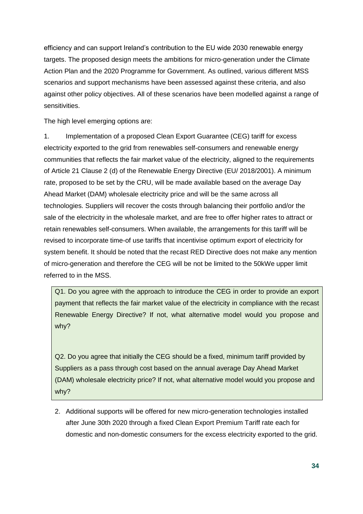efficiency and can support Ireland's contribution to the EU wide 2030 renewable energy targets. The proposed design meets the ambitions for micro-generation under the Climate Action Plan and the 2020 Programme for Government. As outlined, various different MSS scenarios and support mechanisms have been assessed against these criteria, and also against other policy objectives. All of these scenarios have been modelled against a range of sensitivities.

The high level emerging options are:

1. Implementation of a proposed Clean Export Guarantee (CEG) tariff for excess electricity exported to the grid from renewables self-consumers and renewable energy communities that reflects the fair market value of the electricity, aligned to the requirements of Article 21 Clause 2 (d) of the Renewable Energy Directive (EU/ 2018/2001). A minimum rate, proposed to be set by the CRU, will be made available based on the average Day Ahead Market (DAM) wholesale electricity price and will be the same across all technologies. Suppliers will recover the costs through balancing their portfolio and/or the sale of the electricity in the wholesale market, and are free to offer higher rates to attract or retain renewables self-consumers. When available, the arrangements for this tariff will be revised to incorporate time-of use tariffs that incentivise optimum export of electricity for system benefit. It should be noted that the recast RED Directive does not make any mention of micro-generation and therefore the CEG will be not be limited to the 50kWe upper limit referred to in the MSS.

Q1. Do you agree with the approach to introduce the CEG in order to provide an export payment that reflects the fair market value of the electricity in compliance with the recast Renewable Energy Directive? If not, what alternative model would you propose and why?

Q2. Do you agree that initially the CEG should be a fixed, minimum tariff provided by Suppliers as a pass through cost based on the annual average Day Ahead Market (DAM) wholesale electricity price? If not, what alternative model would you propose and why?

2. Additional supports will be offered for new micro-generation technologies installed after June 30th 2020 through a fixed Clean Export Premium Tariff rate each for domestic and non-domestic consumers for the excess electricity exported to the grid.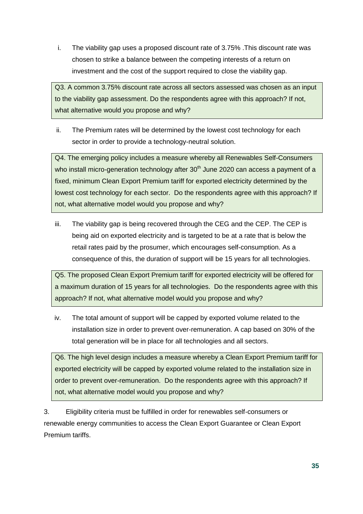i. The viability gap uses a proposed discount rate of 3.75% .This discount rate was chosen to strike a balance between the competing interests of a return on investment and the cost of the support required to close the viability gap.

Q3. A common 3.75% discount rate across all sectors assessed was chosen as an input to the viability gap assessment. Do the respondents agree with this approach? If not, what alternative would you propose and why?

ii. The Premium rates will be determined by the lowest cost technology for each sector in order to provide a technology-neutral solution.

Q4. The emerging policy includes a measure whereby all Renewables Self-Consumers who install micro-generation technology after  $30<sup>th</sup>$  June 2020 can access a payment of a fixed, minimum Clean Export Premium tariff for exported electricity determined by the lowest cost technology for each sector. Do the respondents agree with this approach? If not, what alternative model would you propose and why?

iii. The viability gap is being recovered through the CEG and the CEP. The CEP is being aid on exported electricity and is targeted to be at a rate that is below the retail rates paid by the prosumer, which encourages self-consumption. As a consequence of this, the duration of support will be 15 years for all technologies.

Q5. The proposed Clean Export Premium tariff for exported electricity will be offered for a maximum duration of 15 years for all technologies. Do the respondents agree with this approach? If not, what alternative model would you propose and why?

iv. The total amount of support will be capped by exported volume related to the installation size in order to prevent over-remuneration. A cap based on 30% of the total generation will be in place for all technologies and all sectors.

Q6. The high level design includes a measure whereby a Clean Export Premium tariff for exported electricity will be capped by exported volume related to the installation size in order to prevent over-remuneration. Do the respondents agree with this approach? If not, what alternative model would you propose and why?

3. Eligibility criteria must be fulfilled in order for renewables self-consumers or renewable energy communities to access the Clean Export Guarantee or Clean Export Premium tariffs.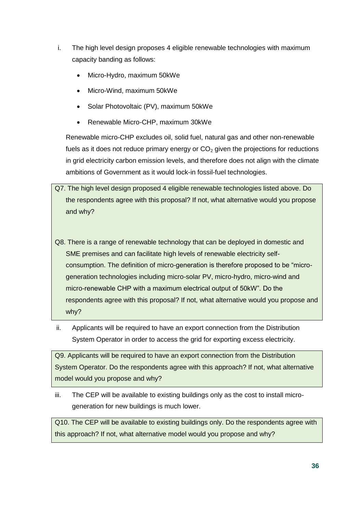- i. The high level design proposes 4 eligible renewable technologies with maximum capacity banding as follows:
	- Micro-Hydro, maximum 50kWe
	- Micro-Wind, maximum 50kWe
	- Solar Photovoltaic (PV), maximum 50kWe
	- Renewable Micro-CHP, maximum 30kWe

Renewable micro-CHP excludes oil, solid fuel, natural gas and other non-renewable fuels as it does not reduce primary energy or  $CO<sub>2</sub>$  given the projections for reductions in grid electricity carbon emission levels, and therefore does not align with the climate ambitions of Government as it would lock-in fossil-fuel technologies.

- Q7. The high level design proposed 4 eligible renewable technologies listed above. Do the respondents agree with this proposal? If not, what alternative would you propose and why?
- Q8. There is a range of renewable technology that can be deployed in domestic and SME premises and can facilitate high levels of renewable electricity selfconsumption. The definition of micro-generation is therefore proposed to be "microgeneration technologies including micro-solar PV, micro-hydro, micro-wind and micro-renewable CHP with a maximum electrical output of 50kW". Do the respondents agree with this proposal? If not, what alternative would you propose and why?
- ii. Applicants will be required to have an export connection from the Distribution System Operator in order to access the grid for exporting excess electricity.

Q9. Applicants will be required to have an export connection from the Distribution System Operator. Do the respondents agree with this approach? If not, what alternative model would you propose and why?

iii. The CEP will be available to existing buildings only as the cost to install microgeneration for new buildings is much lower.

Q10. The CEP will be available to existing buildings only. Do the respondents agree with this approach? If not, what alternative model would you propose and why?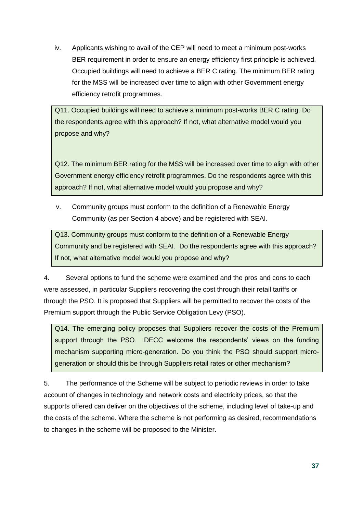iv. Applicants wishing to avail of the CEP will need to meet a minimum post-works BER requirement in order to ensure an energy efficiency first principle is achieved. Occupied buildings will need to achieve a BER C rating. The minimum BER rating for the MSS will be increased over time to align with other Government energy efficiency retrofit programmes.

Q11. Occupied buildings will need to achieve a minimum post-works BER C rating. Do the respondents agree with this approach? If not, what alternative model would you propose and why?

Q12. The minimum BER rating for the MSS will be increased over time to align with other Government energy efficiency retrofit programmes. Do the respondents agree with this approach? If not, what alternative model would you propose and why?

v. Community groups must conform to the definition of a Renewable Energy Community (as per Section 4 above) and be registered with SEAI.

Q13. Community groups must conform to the definition of a Renewable Energy Community and be registered with SEAI. Do the respondents agree with this approach? If not, what alternative model would you propose and why?

4. Several options to fund the scheme were examined and the pros and cons to each were assessed, in particular Suppliers recovering the cost through their retail tariffs or through the PSO. It is proposed that Suppliers will be permitted to recover the costs of the Premium support through the Public Service Obligation Levy (PSO).

Q14. The emerging policy proposes that Suppliers recover the costs of the Premium support through the PSO. DECC welcome the respondents' views on the funding mechanism supporting micro-generation. Do you think the PSO should support microgeneration or should this be through Suppliers retail rates or other mechanism?

5. The performance of the Scheme will be subject to periodic reviews in order to take account of changes in technology and network costs and electricity prices, so that the supports offered can deliver on the objectives of the scheme, including level of take-up and the costs of the scheme. Where the scheme is not performing as desired, recommendations to changes in the scheme will be proposed to the Minister.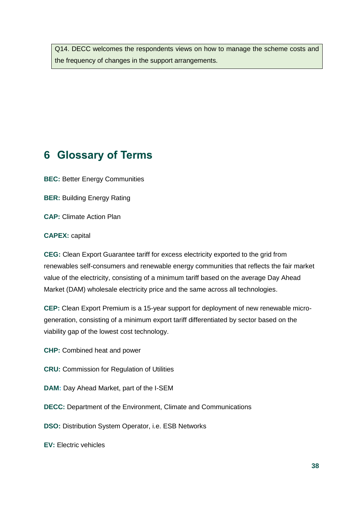Q14. DECC welcomes the respondents views on how to manage the scheme costs and the frequency of changes in the support arrangements.

## **6 Glossary of Terms**

**BEC:** Better Energy Communities

**BER:** Building Energy Rating

**CAP:** Climate Action Plan

#### **CAPEX:** capital

**CEG:** Clean Export Guarantee tariff for excess electricity exported to the grid from renewables self-consumers and renewable energy communities that reflects the fair market value of the electricity, consisting of a minimum tariff based on the average Day Ahead Market (DAM) wholesale electricity price and the same across all technologies.

**CEP:** Clean Export Premium is a 15-year support for deployment of new renewable microgeneration, consisting of a minimum export tariff differentiated by sector based on the viability gap of the lowest cost technology.

**CHP:** Combined heat and power

- **CRU:** Commission for Regulation of Utilities
- **DAM:** Day Ahead Market, part of the I-SEM
- **DECC:** Department of the Environment, Climate and Communications
- **DSO:** Distribution System Operator, i.e. ESB Networks

**EV:** Electric vehicles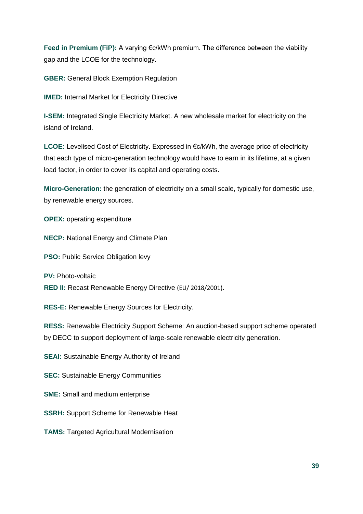**Feed in Premium (FiP):** A varying €c/kWh premium. The difference between the viability gap and the LCOE for the technology.

**GBER:** General Block Exemption Regulation

**IMED:** Internal Market for Electricity Directive

**I-SEM:** Integrated Single Electricity Market. A new wholesale market for electricity on the island of Ireland.

**LCOE:** Levelised Cost of Electricity. Expressed in €c/kWh, the average price of electricity that each type of micro-generation technology would have to earn in its lifetime, at a given load factor, in order to cover its capital and operating costs.

**Micro-Generation:** the generation of electricity on a small scale, typically for domestic use, by renewable energy sources.

**OPEX:** operating expenditure

**NECP:** National Energy and Climate Plan

**PSO:** Public Service Obligation levy

**PV: Photo-voltaic** 

**RED II:** Recast Renewable Energy Directive (EU/ 2018/2001).

**RES-E:** Renewable Energy Sources for Electricity.

**RESS:** Renewable Electricity Support Scheme: An auction-based support scheme operated by DECC to support deployment of large-scale renewable electricity generation.

**SEAI:** Sustainable Energy Authority of Ireland

**SEC:** Sustainable Energy Communities

**SME:** Small and medium enterprise

**SSRH:** Support Scheme for Renewable Heat

**TAMS:** Targeted Agricultural Modernisation